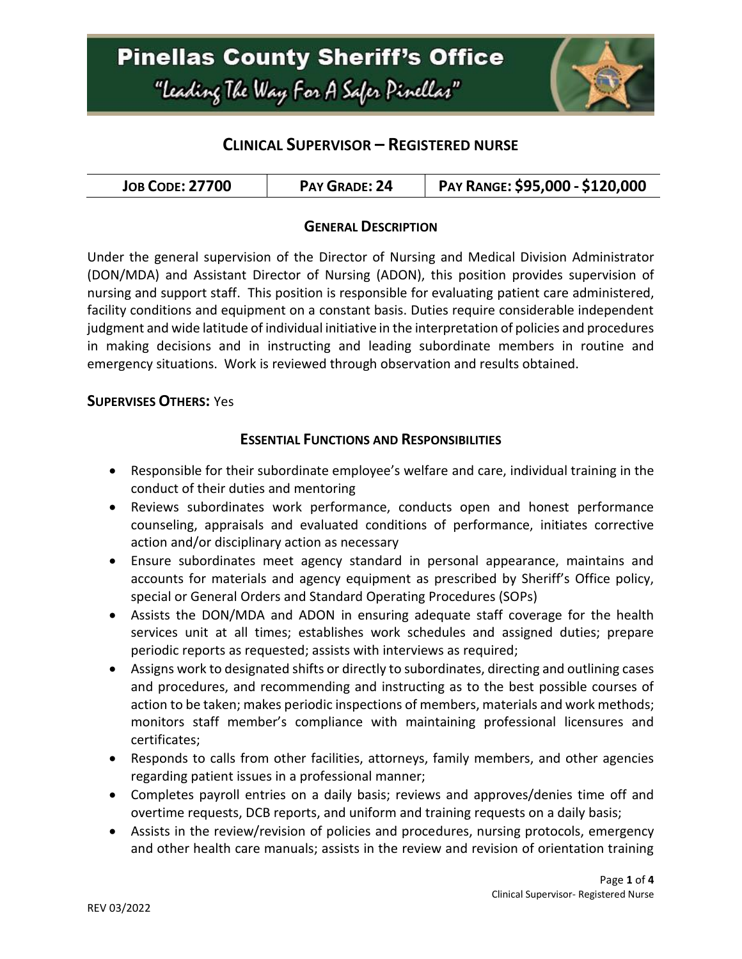

## **CLINICAL SUPERVISOR – REGISTERED NURSE**

| <b>JOB CODE: 27700</b> | PAY GRADE: 24 | PAY RANGE: \$95,000 - \$120,000 |
|------------------------|---------------|---------------------------------|
|------------------------|---------------|---------------------------------|

### **GENERAL DESCRIPTION**

Under the general supervision of the Director of Nursing and Medical Division Administrator (DON/MDA) and Assistant Director of Nursing (ADON), this position provides supervision of nursing and support staff. This position is responsible for evaluating patient care administered, facility conditions and equipment on a constant basis. Duties require considerable independent judgment and wide latitude of individual initiative in the interpretation of policies and procedures in making decisions and in instructing and leading subordinate members in routine and emergency situations. Work is reviewed through observation and results obtained.

#### **SUPERVISES OTHERS:** Yes

### **ESSENTIAL FUNCTIONS AND RESPONSIBILITIES**

- Responsible for their subordinate employee's welfare and care, individual training in the conduct of their duties and mentoring
- Reviews subordinates work performance, conducts open and honest performance counseling, appraisals and evaluated conditions of performance, initiates corrective action and/or disciplinary action as necessary
- Ensure subordinates meet agency standard in personal appearance, maintains and accounts for materials and agency equipment as prescribed by Sheriff's Office policy, special or General Orders and Standard Operating Procedures (SOPs)
- Assists the DON/MDA and ADON in ensuring adequate staff coverage for the health services unit at all times; establishes work schedules and assigned duties; prepare periodic reports as requested; assists with interviews as required;
- Assigns work to designated shifts or directly to subordinates, directing and outlining cases and procedures, and recommending and instructing as to the best possible courses of action to be taken; makes periodic inspections of members, materials and work methods; monitors staff member's compliance with maintaining professional licensures and certificates;
- Responds to calls from other facilities, attorneys, family members, and other agencies regarding patient issues in a professional manner;
- Completes payroll entries on a daily basis; reviews and approves/denies time off and overtime requests, DCB reports, and uniform and training requests on a daily basis;
- Assists in the review/revision of policies and procedures, nursing protocols, emergency and other health care manuals; assists in the review and revision of orientation training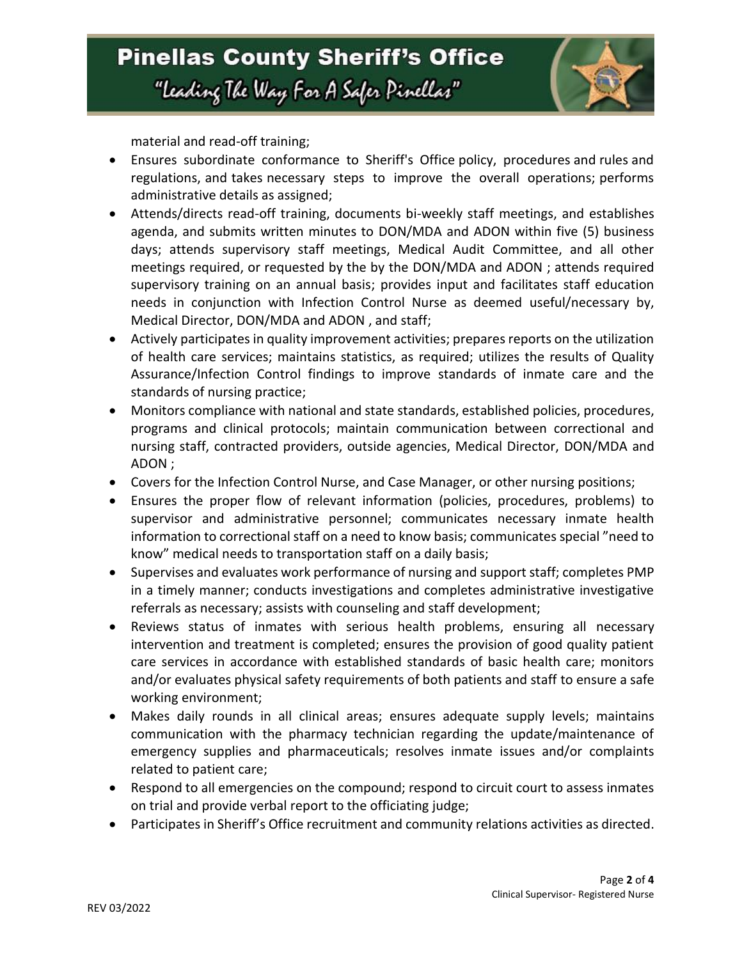

material and read-off training;

- Ensures subordinate conformance to Sheriff's Office policy, procedures and rules and regulations, and takes necessary steps to improve the overall operations; performs administrative details as assigned;
- Attends/directs read-off training, documents bi-weekly staff meetings, and establishes agenda, and submits written minutes to DON/MDA and ADON within five (5) business days; attends supervisory staff meetings, Medical Audit Committee, and all other meetings required, or requested by the by the DON/MDA and ADON ; attends required supervisory training on an annual basis; provides input and facilitates staff education needs in conjunction with Infection Control Nurse as deemed useful/necessary by, Medical Director, DON/MDA and ADON , and staff;
- Actively participates in quality improvement activities; prepares reports on the utilization of health care services; maintains statistics, as required; utilizes the results of Quality Assurance/Infection Control findings to improve standards of inmate care and the standards of nursing practice;
- Monitors compliance with national and state standards, established policies, procedures, programs and clinical protocols; maintain communication between correctional and nursing staff, contracted providers, outside agencies, Medical Director, DON/MDA and ADON ;
- Covers for the Infection Control Nurse, and Case Manager, or other nursing positions;
- Ensures the proper flow of relevant information (policies, procedures, problems) to supervisor and administrative personnel; communicates necessary inmate health information to correctional staff on a need to know basis; communicates special "need to know" medical needs to transportation staff on a daily basis;
- Supervises and evaluates work performance of nursing and support staff; completes PMP in a timely manner; conducts investigations and completes administrative investigative referrals as necessary; assists with counseling and staff development;
- Reviews status of inmates with serious health problems, ensuring all necessary intervention and treatment is completed; ensures the provision of good quality patient care services in accordance with established standards of basic health care; monitors and/or evaluates physical safety requirements of both patients and staff to ensure a safe working environment;
- Makes daily rounds in all clinical areas; ensures adequate supply levels; maintains communication with the pharmacy technician regarding the update/maintenance of emergency supplies and pharmaceuticals; resolves inmate issues and/or complaints related to patient care;
- Respond to all emergencies on the compound; respond to circuit court to assess inmates on trial and provide verbal report to the officiating judge;
- Participates in Sheriff's Office recruitment and community relations activities as directed.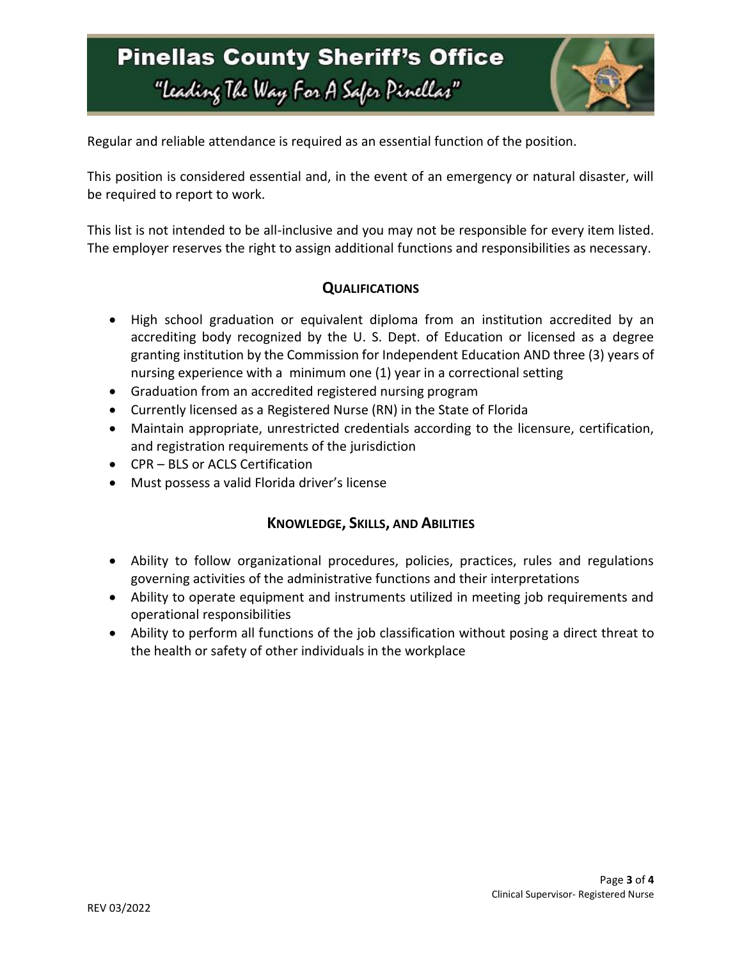# **Pinellas County Sheriff's Office** "Leading The Way For A Safer Pinellar"



Regular and reliable attendance is required as an essential function of the position.

This position is considered essential and, in the event of an emergency or natural disaster, will be required to report to work.

This list is not intended to be all-inclusive and you may not be responsible for every item listed. The employer reserves the right to assign additional functions and responsibilities as necessary.

### **QUALIFICATIONS**

- High school graduation or equivalent diploma from an institution accredited by an accrediting body recognized by the U. S. Dept. of Education or licensed as a degree granting institution by the Commission for Independent Education AND three (3) years of nursing experience with a minimum one (1) year in a correctional setting
- Graduation from an accredited registered nursing program
- Currently licensed as a Registered Nurse (RN) in the State of Florida
- Maintain appropriate, unrestricted credentials according to the licensure, certification, and registration requirements of the jurisdiction
- CPR BLS or ACLS Certification
- Must possess a valid Florida driver's license

#### **KNOWLEDGE, SKILLS, AND ABILITIES**

- Ability to follow organizational procedures, policies, practices, rules and regulations governing activities of the administrative functions and their interpretations
- Ability to operate equipment and instruments utilized in meeting job requirements and operational responsibilities
- Ability to perform all functions of the job classification without posing a direct threat to the health or safety of other individuals in the workplace